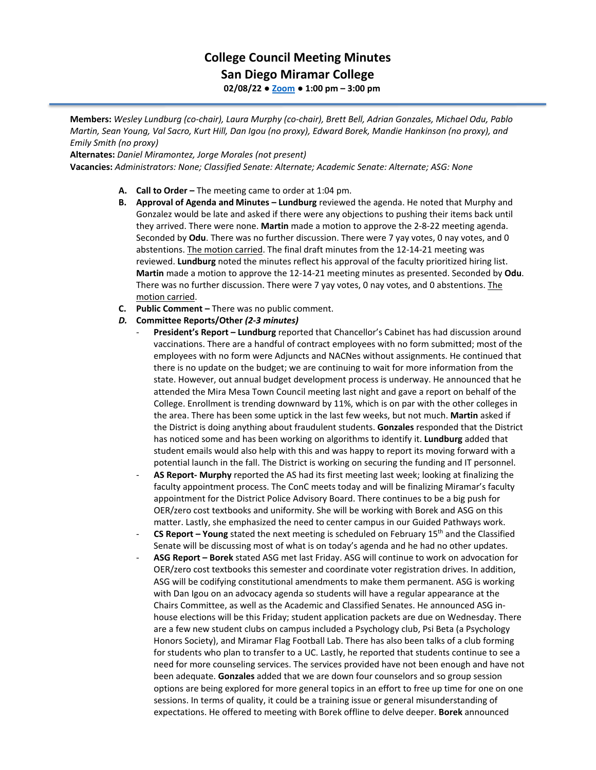## **College Council Meeting Minutes San Diego Miramar College**

**02/08/22 ● [Zoom](https://cccconfer.zoom.us/j/92354948089?pwd=clQvQ3pSdi84K2xTSnVLN1UyOXhpQT09) ● 1:00 pm – 3:00 pm**

**Members:** *Wesley Lundburg (co-chair), Laura Murphy (co-chair), Brett Bell, Adrian Gonzales, Michael Odu, Pablo Martin, Sean Young, Val Sacro, Kurt Hill, Dan Igou (no proxy), Edward Borek, Mandie Hankinson (no proxy), and Emily Smith (no proxy)*

**Alternates:** *Daniel Miramontez, Jorge Morales (not present)*

**Vacancies:** *Administrators: None; Classified Senate: Alternate; Academic Senate: Alternate; ASG: None*

- **A. Call to Order –** The meeting came to order at 1:04 pm.
- **B. Approval of Agenda and Minutes – Lundburg** reviewed the agenda. He noted that Murphy and Gonzalez would be late and asked if there were any objections to pushing their items back until they arrived. There were none. **Martin** made a motion to approve the 2-8-22 meeting agenda. Seconded by **Odu**. There was no further discussion. There were 7 yay votes, 0 nay votes, and 0 abstentions. The motion carried. The final draft minutes from the 12-14-21 meeting was reviewed. **Lundburg** noted the minutes reflect his approval of the faculty prioritized hiring list. **Martin** made a motion to approve the 12-14-21 meeting minutes as presented. Seconded by **Odu**. There was no further discussion. There were 7 yay votes, 0 nay votes, and 0 abstentions. The motion carried.
- **C. Public Comment –** There was no public comment.
- *D.* **Committee Reports/Other** *(2-3 minutes)*
	- **President's Report – Lundburg** reported that Chancellor's Cabinet has had discussion around vaccinations. There are a handful of contract employees with no form submitted; most of the employees with no form were Adjuncts and NACNes without assignments. He continued that there is no update on the budget; we are continuing to wait for more information from the state. However, out annual budget development process is underway. He announced that he attended the Mira Mesa Town Council meeting last night and gave a report on behalf of the College. Enrollment is trending downward by 11%, which is on par with the other colleges in the area. There has been some uptick in the last few weeks, but not much. **Martin** asked if the District is doing anything about fraudulent students. **Gonzales** responded that the District has noticed some and has been working on algorithms to identify it. **Lundburg** added that student emails would also help with this and was happy to report its moving forward with a potential launch in the fall. The District is working on securing the funding and IT personnel.
	- **AS Report- Murphy** reported the AS had its first meeting last week; looking at finalizing the faculty appointment process. The ConC meets today and will be finalizing Miramar's faculty appointment for the District Police Advisory Board. There continues to be a big push for OER/zero cost textbooks and uniformity. She will be working with Borek and ASG on this matter. Lastly, she emphasized the need to center campus in our Guided Pathways work.
	- **CS Report – Young** stated the next meeting is scheduled on February 15th and the Classified Senate will be discussing most of what is on today's agenda and he had no other updates.
	- **ASG Report – Borek** stated ASG met last Friday. ASG will continue to work on advocation for OER/zero cost textbooks this semester and coordinate voter registration drives. In addition, ASG will be codifying constitutional amendments to make them permanent. ASG is working with Dan Igou on an advocacy agenda so students will have a regular appearance at the Chairs Committee, as well as the Academic and Classified Senates. He announced ASG inhouse elections will be this Friday; student application packets are due on Wednesday. There are a few new student clubs on campus included a Psychology club, Psi Beta (a Psychology Honors Society), and Miramar Flag Football Lab. There has also been talks of a club forming for students who plan to transfer to a UC. Lastly, he reported that students continue to see a need for more counseling services. The services provided have not been enough and have not been adequate. **Gonzales** added that we are down four counselors and so group session options are being explored for more general topics in an effort to free up time for one on one sessions. In terms of quality, it could be a training issue or general misunderstanding of expectations. He offered to meeting with Borek offline to delve deeper. **Borek** announced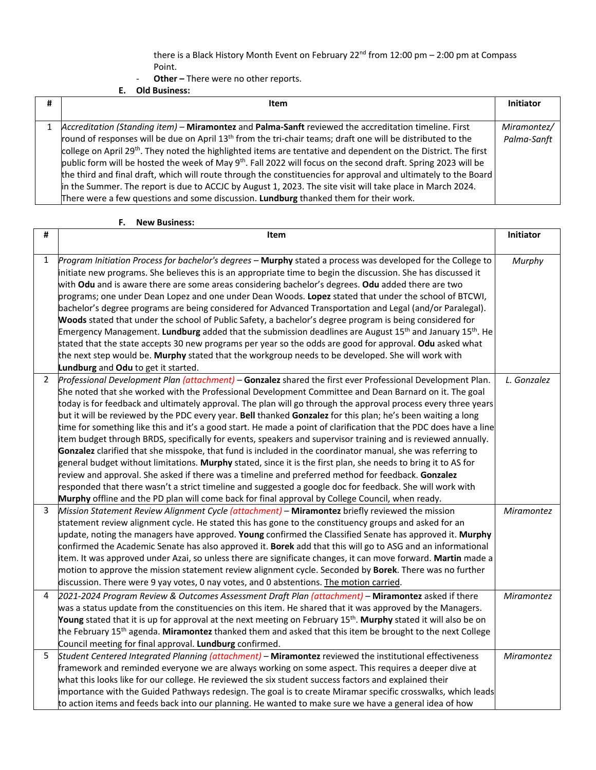there is a Black History Month Event on February  $22^{nd}$  from  $12:00$  pm  $- 2:00$  pm at Compass Point.

- **Other –** There were no other reports.

**E. Old Business:**

| # | Item                                                                                                                        | <b>Initiator</b> |
|---|-----------------------------------------------------------------------------------------------------------------------------|------------------|
|   |                                                                                                                             |                  |
|   | 1 Accreditation (Standing item) – Miramontez and Palma-Sanft reviewed the accreditation timeline. First                     | Miramontez/      |
|   | round of responses will be due on April 13 <sup>th</sup> from the tri-chair teams; draft one will be distributed to the     | Palma-Sanft      |
|   | college on April 29 <sup>th</sup> . They noted the highlighted items are tentative and dependent on the District. The first |                  |
|   | public form will be hosted the week of May 9 <sup>th</sup> . Fall 2022 will focus on the second draft. Spring 2023 will be  |                  |
|   | the third and final draft, which will route through the constituencies for approval and ultimately to the Board             |                  |
|   | in the Summer. The report is due to ACCJC by August 1, 2023. The site visit will take place in March 2024.                  |                  |
|   | There were a few questions and some discussion. Lundburg thanked them for their work.                                       |                  |

## **F. New Business:**

| #              | Item                                                                                                                                                                                                                                                                                                                                                                                                                                                                                                                                                                                                                                                                                                                                                                                                                                                                                                                                                                                                                                                                                                                                                                                                                                                  | Initiator         |
|----------------|-------------------------------------------------------------------------------------------------------------------------------------------------------------------------------------------------------------------------------------------------------------------------------------------------------------------------------------------------------------------------------------------------------------------------------------------------------------------------------------------------------------------------------------------------------------------------------------------------------------------------------------------------------------------------------------------------------------------------------------------------------------------------------------------------------------------------------------------------------------------------------------------------------------------------------------------------------------------------------------------------------------------------------------------------------------------------------------------------------------------------------------------------------------------------------------------------------------------------------------------------------|-------------------|
| $\mathbf{1}$   | Program Initiation Process for bachelor's degrees - Murphy stated a process was developed for the College to<br>initiate new programs. She believes this is an appropriate time to begin the discussion. She has discussed it<br>with Odu and is aware there are some areas considering bachelor's degrees. Odu added there are two<br>programs; one under Dean Lopez and one under Dean Woods. Lopez stated that under the school of BTCWI,<br>bachelor's degree programs are being considered for Advanced Transportation and Legal (and/or Paralegal).<br>Woods stated that under the school of Public Safety, a bachelor's degree program is being considered for<br>Emergency Management. Lundburg added that the submission deadlines are August 15 <sup>th</sup> and January 15 <sup>th</sup> . He<br>stated that the state accepts 30 new programs per year so the odds are good for approval. Odu asked what<br>the next step would be. Murphy stated that the workgroup needs to be developed. She will work with<br>Lundburg and Odu to get it started.                                                                                                                                                                                    | Murphy            |
| $\overline{2}$ | Professional Development Plan (attachment) - Gonzalez shared the first ever Professional Development Plan.<br>She noted that she worked with the Professional Development Committee and Dean Barnard on it. The goal<br>today is for feedback and ultimately approval. The plan will go through the approval process every three years<br>but it will be reviewed by the PDC every year. Bell thanked Gonzalez for this plan; he's been waiting a long<br>time for something like this and it's a good start. He made a point of clarification that the PDC does have a line<br>item budget through BRDS, specifically for events, speakers and supervisor training and is reviewed annually.<br>Gonzalez clarified that she misspoke, that fund is included in the coordinator manual, she was referring to<br>general budget without limitations. Murphy stated, since it is the first plan, she needs to bring it to AS for<br>review and approval. She asked if there was a timeline and preferred method for feedback. Gonzalez<br>responded that there wasn't a strict timeline and suggested a google doc for feedback. She will work with<br>Murphy offline and the PD plan will come back for final approval by College Council, when ready. | L. Gonzalez       |
| 3              | Mission Statement Review Alignment Cycle (attachment) - Miramontez briefly reviewed the mission<br>statement review alignment cycle. He stated this has gone to the constituency groups and asked for an<br>update, noting the managers have approved. Young confirmed the Classified Senate has approved it. Murphy<br>confirmed the Academic Senate has also approved it. Borek add that this will go to ASG and an informational<br>item. It was approved under Azai, so unless there are significate changes, it can move forward. Martin made a<br>motion to approve the mission statement review alignment cycle. Seconded by <b>Borek</b> . There was no further<br>discussion. There were 9 yay votes, 0 nay votes, and 0 abstentions. The motion carried.                                                                                                                                                                                                                                                                                                                                                                                                                                                                                    | <b>Miramontez</b> |
| 4              | 2021-2024 Program Review & Outcomes Assessment Draft Plan (attachment) - Miramontez asked if there<br>was a status update from the constituencies on this item. He shared that it was approved by the Managers.<br>Young stated that it is up for approval at the next meeting on February 15 <sup>th</sup> . Murphy stated it will also be on<br>the February 15 <sup>th</sup> agenda. Miramontez thanked them and asked that this item be brought to the next College<br>Council meeting for final approval. Lundburg confirmed.                                                                                                                                                                                                                                                                                                                                                                                                                                                                                                                                                                                                                                                                                                                    | <b>Miramontez</b> |
| 5              | Student Centered Integrated Planning (attachment) - Miramontez reviewed the institutional effectiveness<br>framework and reminded everyone we are always working on some aspect. This requires a deeper dive at<br>what this looks like for our college. He reviewed the six student success factors and explained their<br>importance with the Guided Pathways redesign. The goal is to create Miramar specific crosswalks, which leads<br>to action items and feeds back into our planning. He wanted to make sure we have a general idea of how                                                                                                                                                                                                                                                                                                                                                                                                                                                                                                                                                                                                                                                                                                    | <b>Miramontez</b> |